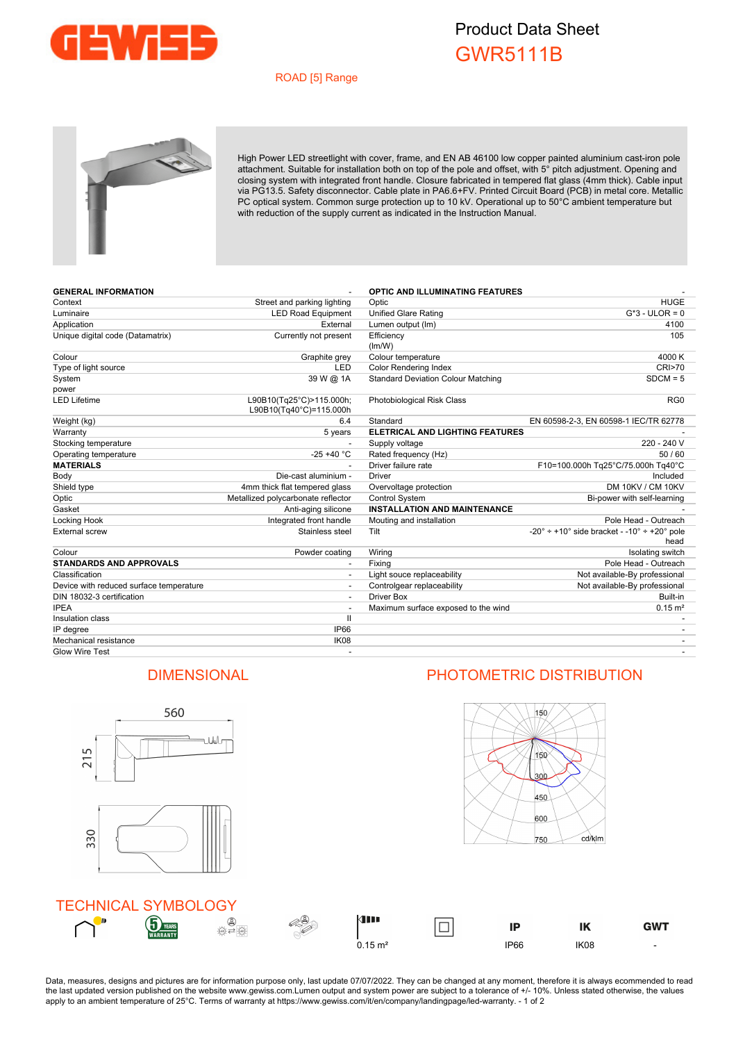

## Product Data Sheet GWR5111B

## ROAD [5] Range



High Power LED streetlight with cover, frame, and EN AB 46100 low copper painted aluminium cast-iron pole attachment. Suitable for installation both on top of the pole and offset, with 5° pitch adjustment. Opening and closing system with integrated front handle. Closure fabricated in tempered flat glass (4mm thick). Cable input via PG13.5. Safety disconnector. Cable plate in PA6.6+FV. Printed Circuit Board (PCB) in metal core. Metallic PC optical system. Common surge protection up to 10 kV. Operational up to 50°C ambient temperature but with reduction of the supply current as indicated in the Instruction Manual.

| <b>GENERAL INFORMATION</b>              |                                                     | <b>OPTIC AND ILLUMINATING FEATURES</b>    |                                                              |
|-----------------------------------------|-----------------------------------------------------|-------------------------------------------|--------------------------------------------------------------|
| Context                                 | Street and parking lighting                         | Optic                                     | <b>HUGE</b>                                                  |
| Luminaire                               | <b>LED Road Equipment</b>                           | <b>Unified Glare Rating</b>               | $G*3$ - ULOR = 0                                             |
| Application                             | External                                            | Lumen output (Im)                         | 4100                                                         |
| Unique digital code (Datamatrix)        | Currently not present                               | Efficiency                                | 105                                                          |
|                                         |                                                     | (lm/W)                                    |                                                              |
| Colour                                  | Graphite grey                                       | Colour temperature                        | 4000 K                                                       |
| Type of light source                    | LED                                                 | <b>Color Rendering Index</b>              | CRI>70                                                       |
| System                                  | 39 W @ 1A                                           | <b>Standard Deviation Colour Matching</b> | $SDCM = 5$                                                   |
| power                                   |                                                     |                                           |                                                              |
| <b>LED Lifetime</b>                     | L90B10(Tg25°C)>115.000h;<br>L90B10(Tq40°C)=115.000h | <b>Photobiological Risk Class</b>         | RG0                                                          |
| Weight (kg)                             | 6.4                                                 | Standard                                  | EN 60598-2-3, EN 60598-1 IEC/TR 62778                        |
| Warranty                                | 5 years                                             | <b>ELETRICAL AND LIGHTING FEATURES</b>    |                                                              |
| Stocking temperature                    |                                                     | Supply voltage                            | 220 - 240 V                                                  |
| Operating temperature                   | $-25 + 40 °C$                                       | Rated frequency (Hz)                      | 50/60                                                        |
| <b>MATERIALS</b>                        |                                                     | Driver failure rate                       | F10=100.000h Tg25°C/75.000h Tg40°C                           |
| Body                                    | Die-cast aluminium -                                | Driver                                    | Included                                                     |
| Shield type                             | 4mm thick flat tempered glass                       | Overvoltage protection                    | DM 10KV / CM 10KV                                            |
| Optic                                   | Metallized polycarbonate reflector                  | <b>Control System</b>                     | Bi-power with self-learning                                  |
| Gasket                                  | Anti-aging silicone                                 | <b>INSTALLATION AND MAINTENANCE</b>       |                                                              |
| Locking Hook                            | Integrated front handle                             | Mouting and installation                  | Pole Head - Outreach                                         |
| <b>External screw</b>                   | Stainless steel                                     | Tilt                                      | $-20^{\circ}$ ÷ +10° side bracket - -10° ÷ +20° pole<br>head |
| Colour                                  | Powder coating                                      | Wiring                                    | Isolating switch                                             |
| <b>STANDARDS AND APPROVALS</b>          |                                                     | Fixing                                    | Pole Head - Outreach                                         |
| Classification                          |                                                     | Light souce replaceability                | Not available-By professional                                |
| Device with reduced surface temperature |                                                     | Controlgear replaceability                | Not available-By professional                                |
| DIN 18032-3 certification               |                                                     | Driver Box                                | Built-in                                                     |
| <b>IPEA</b>                             |                                                     | Maximum surface exposed to the wind       | $0.15 \text{ m}^2$                                           |
| Insulation class                        | $\mathbf{I}$                                        |                                           |                                                              |
| IP degree                               | <b>IP66</b>                                         |                                           |                                                              |
| Mechanical resistance                   | <b>IK08</b>                                         |                                           |                                                              |
| <b>Glow Wire Test</b>                   |                                                     |                                           |                                                              |



Data, measures, designs and pictures are for information purpose only, last update 07/07/2022. They can be changed at any moment, therefore it is always ecommended to read the last updated version published on the website www.gewiss.com.Lumen output and system power are subject to a tolerance of +/- 10%. Unless stated otherwise, the values apply to an ambient temperature of 25°C. Terms of warranty at https://www.gewiss.com/it/en/company/landingpage/led-warranty. - 1 of 2

## DIMENSIONAL PHOTOMETRIC DISTRIBUTION